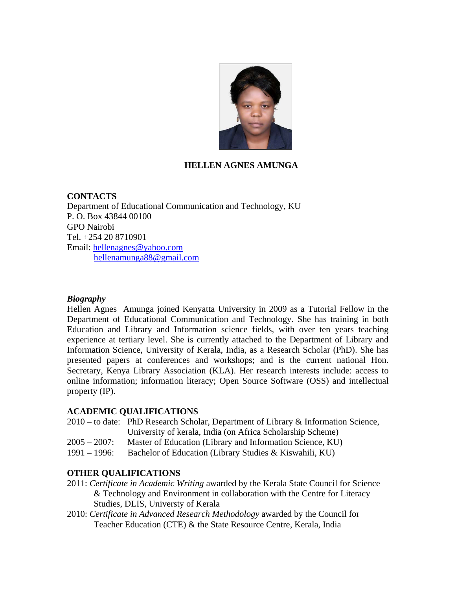

# **HELLEN AGNES AMUNGA**

### **CONTACTS**

Department of Educational Communication and Technology, KU P. O. Box 43844 00100 GPO Nairobi Tel. +254 20 8710901 Email: hellenagnes@yahoo.com hellenamunga88@gmail.com

#### *Biography*

Hellen Agnes Amunga joined Kenyatta University in 2009 as a Tutorial Fellow in the Department of Educational Communication and Technology. She has training in both Education and Library and Information science fields, with over ten years teaching experience at tertiary level. She is currently attached to the Department of Library and Information Science, University of Kerala, India, as a Research Scholar (PhD). She has presented papers at conferences and workshops; and is the current national Hon. Secretary, Kenya Library Association (KLA). Her research interests include: access to online information; information literacy; Open Source Software (OSS) and intellectual property (IP).

### **ACADEMIC QUALIFICATIONS**

- 2010 to date: PhD Research Scholar, Department of Library & Information Science, University of kerala, India (on Africa Scholarship Scheme)
- 2005 2007: Master of Education (Library and Information Science, KU)
- 1991 1996: Bachelor of Education (Library Studies & Kiswahili, KU)

#### **OTHER QUALIFICATIONS**

- 2011: *Certificate in Academic Writing* awarded by the Kerala State Council for Science & Technology and Environment in collaboration with the Centre for Literacy Studies, DLIS, Universty of Kerala
- 2010: *Certificate in Advanced Research Methodology* awarded by the Council for Teacher Education (CTE) & the State Resource Centre, Kerala, India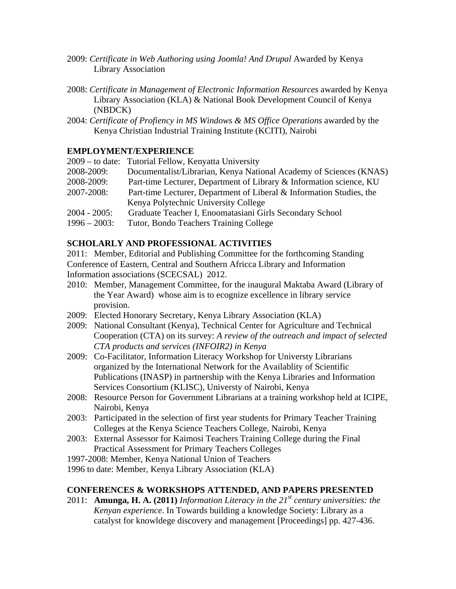- 2009: *Certificate in Web Authoring using Joomla! And Drupal* Awarded by Kenya Library Association
- 2008: Certificate in Management of Electronic Information Resources awarded by Kenya Library Association (KLA) & National Book Development Council of Kenya (NBDCK)
- 2004: *Certificate of Profiency in MS Windows & MS Office Operations* awarded by the Kenya Christian Industrial Training Institute (KCITI), Nairobi

# **EMPLOYMENT/EXPERIENCE**

|                 | 2009 – to date: Tutorial Fellow, Kenyatta University                 |
|-----------------|----------------------------------------------------------------------|
| 2008-2009:      | Documentalist/Librarian, Kenya National Academy of Sciences (KNAS)   |
| 2008-2009:      | Part-time Lecturer, Department of Library & Information science, KU  |
| 2007-2008:      | Part-time Lecturer, Department of Liberal & Information Studies, the |
|                 | Kenya Polytechnic University College                                 |
| 2004 - 2005:    | Graduate Teacher I, Enoomatasiani Girls Secondary School             |
| $1996 - 2003$ : | Tutor, Bondo Teachers Training College                               |
|                 |                                                                      |

# **SCHOLARLY AND PROFESSIONAL ACTIVITIES**

2011: Member, Editorial and Publishing Committee for the forthcoming Standing Conference of Eastern, Central and Southern Africca Library and Information Information associations (SCECSAL) 2012.

- 2010: Member, Management Committee, for the inaugural Maktaba Award (Library of the Year Award) whose aim is to ecognize excellence in library service provision.
- 2009: Elected Honorary Secretary, Kenya Library Association (KLA)
- 2009: National Consultant (Kenya), Technical Center for Agriculture and Technical Cooperation (CTA) on its survey: *A review of the outreach and impact of selected CTA products and services (INFOIR2) in Kenya*
- 2009: Co-Facilitator, Information Literacy Workshop for Universty Librarians organized by the International Network for the Availablity of Scientific Publications (INASP) in partnership with the Kenya Libraries and Information Services Consortium (KLISC), Universty of Nairobi, Kenya
- 2008: Resource Person for Government Librarians at a training workshop held at ICIPE, Nairobi, Kenya
- 2003: Participated in the selection of first year students for Primary Teacher Training Colleges at the Kenya Science Teachers College, Nairobi, Kenya
- 2003: External Assessor for Kaimosi Teachers Training College during the Final Practical Assessment for Primary Teachers Colleges
- 1997-2008: Member, Kenya National Union of Teachers
- 1996 to date: Member, Kenya Library Association (KLA)

### **CONFERENCES & WORKSHOPS ATTENDED, AND PAPERS PRESENTED**

2011: **Amunga, H. A. (2011)** *Information Literacy in the 21<sup>st</sup> century universities: the Kenyan experience*. In Towards building a knowledge Society: Library as a catalyst for knowldege discovery and management [Proceedings] pp. 427-436.